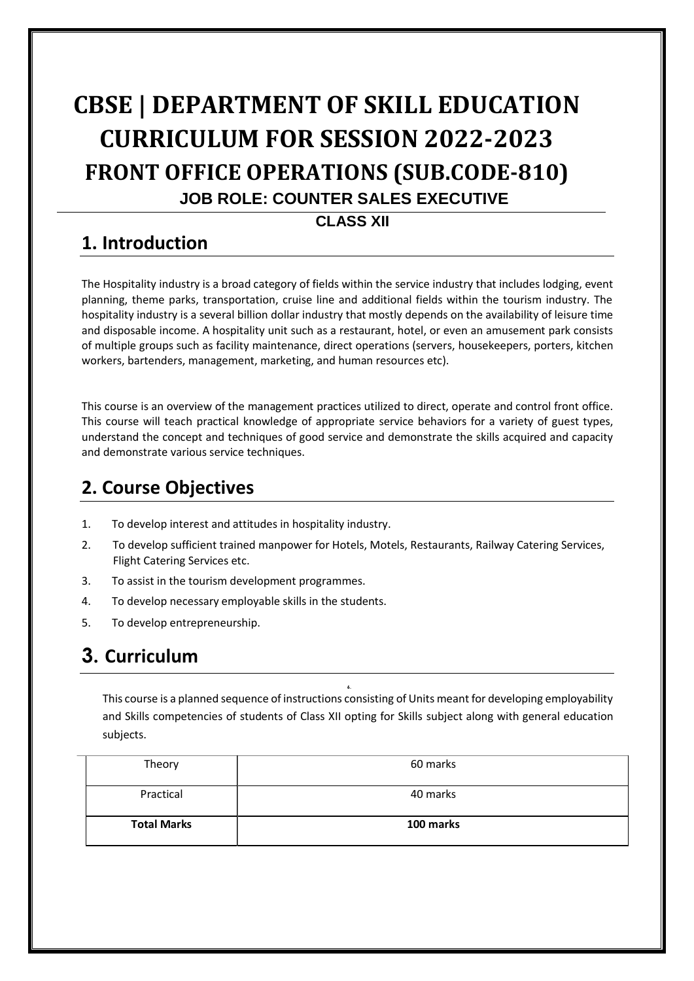# **CBSE | DEPARTMENT OF SKILL EDUCATION CURRICULUM FOR SESSION 2022-2023 FRONT OFFICE OPERATIONS (SUB.CODE-810) JOB ROLE: COUNTER SALES EXECUTIVE**

#### **CLASS XII**

### **1. Introduction**

The Hospitality industry is a broad category of fields within the service industry that includes lodging, event planning, theme parks, transportation, cruise line and additional fields within the tourism industry. The hospitality industry is a several billion dollar industry that mostly depends on the availability of leisure time and disposable income. A hospitality unit such as a restaurant, hotel, or even an amusement park consists of multiple groups such as facility maintenance, direct operations (servers, housekeepers, porters, kitchen workers, bartenders, management, marketing, and human resources etc).

This course is an overview of the management practices utilized to direct, operate and control front office. This course will teach practical knowledge of appropriate service behaviors for a variety of guest types, understand the concept and techniques of good service and demonstrate the skills acquired and capacity and demonstrate various service techniques.

### **2. Course Objectives**

- 1. To develop interest and attitudes in hospitality industry.
- 2. To develop sufficient trained manpower for Hotels, Motels, Restaurants, Railway Catering Services, Flight Catering Services etc.
- 3. To assist in the tourism development programmes.
- 4. To develop necessary employable skills in the students.
- 5. To develop entrepreneurship.

## **3. Curriculum**

This course is a planned sequence of instructions consisting of Units meant for developing employability and Skills competencies of students of Class XII opting for Skills subject along with general education subjects.

**6.**

| Theory             | 60 marks  |
|--------------------|-----------|
| Practical          | 40 marks  |
| <b>Total Marks</b> | 100 marks |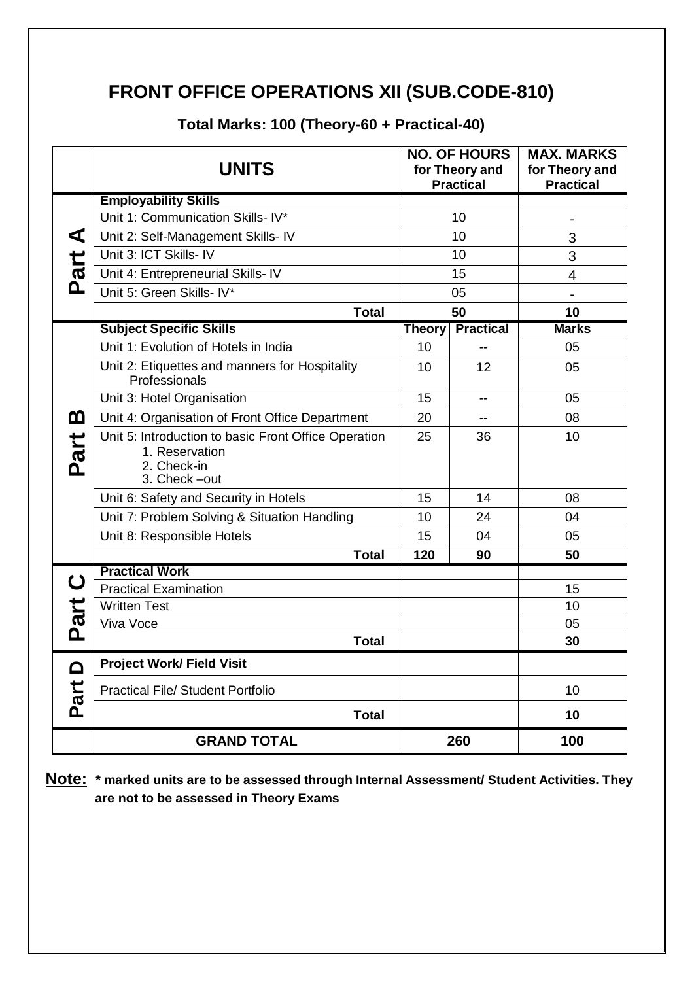### **FRONT OFFICE OPERATIONS XII (SUB.CODE-810)**

|                  | <b>UNITS</b>                                                                                          |               | <b>NO. OF HOURS</b><br>for Theory and<br><b>Practical</b> | <b>MAX. MARKS</b><br>for Theory and<br><b>Practical</b> |
|------------------|-------------------------------------------------------------------------------------------------------|---------------|-----------------------------------------------------------|---------------------------------------------------------|
|                  | <b>Employability Skills</b>                                                                           |               |                                                           |                                                         |
|                  | Unit 1: Communication Skills- IV*                                                                     |               | 10                                                        |                                                         |
| ⋖                | Unit 2: Self-Management Skills- IV                                                                    |               | 10                                                        | 3                                                       |
| Part             | Unit 3: ICT Skills- IV                                                                                | 10            |                                                           | 3                                                       |
|                  | Unit 4: Entrepreneurial Skills- IV                                                                    | 15            |                                                           | 4                                                       |
|                  | Unit 5: Green Skills- IV*                                                                             | 05            |                                                           |                                                         |
|                  | <b>Total</b>                                                                                          | 50            |                                                           | 10                                                      |
|                  | <b>Subject Specific Skills</b>                                                                        | <b>Theory</b> | <b>Practical</b>                                          | <b>Marks</b>                                            |
|                  | Unit 1: Evolution of Hotels in India                                                                  | 10            |                                                           | 05                                                      |
|                  | Unit 2: Etiquettes and manners for Hospitality<br>Professionals                                       |               | 12                                                        | 05                                                      |
|                  | Unit 3: Hotel Organisation                                                                            | 15            | --                                                        | 05                                                      |
| മ                | Unit 4: Organisation of Front Office Department                                                       | 20            | $-$                                                       | 08                                                      |
| Part             | Unit 5: Introduction to basic Front Office Operation<br>1. Reservation<br>2. Check-in<br>3. Check-out |               | 36                                                        | 10                                                      |
|                  | Unit 6: Safety and Security in Hotels                                                                 | 15            | 14                                                        | 08                                                      |
|                  | Unit 7: Problem Solving & Situation Handling                                                          | 10            | 24                                                        | 04                                                      |
|                  | Unit 8: Responsible Hotels                                                                            |               | 04                                                        | 05                                                      |
|                  | <b>Total</b>                                                                                          | 120           | 90                                                        | 50                                                      |
|                  | <b>Practical Work</b>                                                                                 |               |                                                           |                                                         |
| $\mathbf C$      | <b>Practical Examination</b>                                                                          |               |                                                           | 15                                                      |
| Part             | <b>Written Test</b>                                                                                   |               |                                                           | 10                                                      |
|                  | Viva Voce                                                                                             |               |                                                           | 05                                                      |
|                  | <b>Total</b>                                                                                          |               |                                                           | 30                                                      |
| <b>∩</b><br>Part | <b>Project Work/ Field Visit</b>                                                                      |               |                                                           |                                                         |
|                  | <b>Practical File/ Student Portfolio</b>                                                              |               |                                                           | 10                                                      |
|                  | <b>Total</b>                                                                                          |               |                                                           | 10                                                      |
|                  | <b>GRAND TOTAL</b>                                                                                    |               | 260                                                       | 100                                                     |

**Total Marks: 100 (Theory-60 + Practical-40)**

**Note: \* marked units are to be assessed through Internal Assessment/ Student Activities. They are not to be assessed in Theory Exams**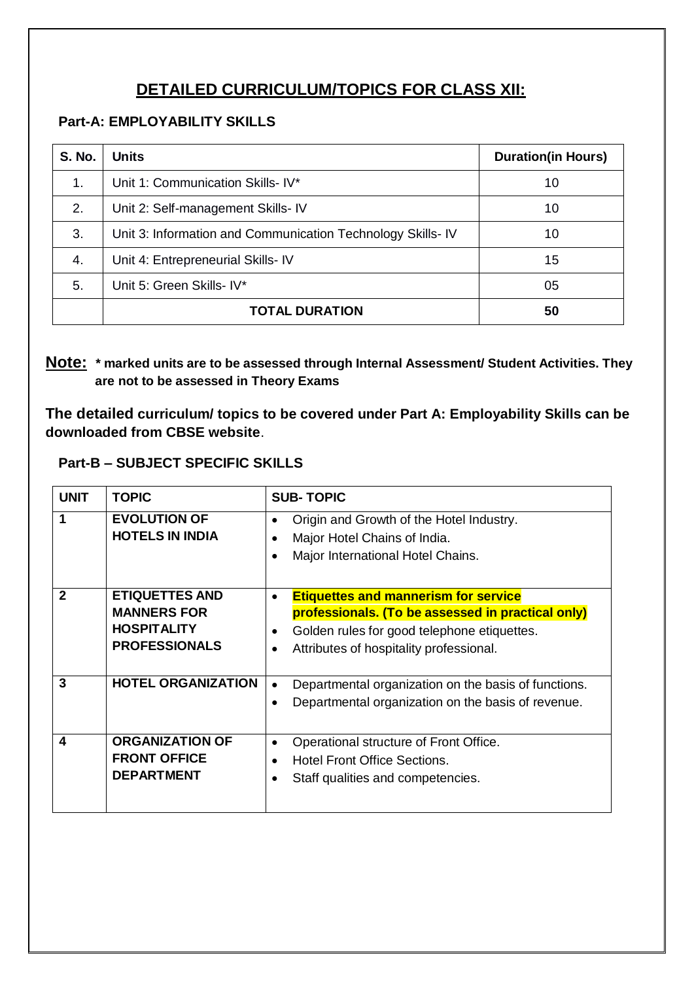### **DETAILED CURRICULUM/TOPICS FOR CLASS XII:**

#### **Part-A: EMPLOYABILITY SKILLS**

| <b>S. No.</b> | <b>Units</b>                                                | <b>Duration(in Hours)</b> |
|---------------|-------------------------------------------------------------|---------------------------|
| 1.            | Unit 1: Communication Skills- IV*                           | 10                        |
| 2.            | Unit 2: Self-management Skills- IV                          | 10                        |
| 3.            | Unit 3: Information and Communication Technology Skills- IV | 10                        |
| 4.            | Unit 4: Entrepreneurial Skills-IV                           | 15                        |
| 5.            | Unit 5: Green Skills- IV*                                   | 05                        |
|               | <b>TOTAL DURATION</b>                                       | 50                        |

#### **Note: \* marked units are to be assessed through Internal Assessment/ Student Activities. They are not to be assessed in Theory Exams**

**The detailed curriculum/ topics to be covered under Part A: Employability Skills can be downloaded from CBSE website**.

#### **Part-B – SUBJECT SPECIFIC SKILLS**

| <b>UNIT</b>  | <b>TOPIC</b>                                                                              | <b>SUB-TOPIC</b>                                                                                                                                                                                                                  |  |
|--------------|-------------------------------------------------------------------------------------------|-----------------------------------------------------------------------------------------------------------------------------------------------------------------------------------------------------------------------------------|--|
| 1            | <b>EVOLUTION OF</b><br><b>HOTELS IN INDIA</b>                                             | Origin and Growth of the Hotel Industry.<br>$\bullet$<br>Major Hotel Chains of India.<br>$\bullet$<br>Major International Hotel Chains.<br>$\bullet$                                                                              |  |
| $\mathbf{2}$ | <b>ETIQUETTES AND</b><br><b>MANNERS FOR</b><br><b>HOSPITALITY</b><br><b>PROFESSIONALS</b> | <b>Etiquettes and mannerism for service</b><br>$\bullet$<br>professionals. (To be assessed in practical only)<br>Golden rules for good telephone etiquettes.<br>$\bullet$<br>Attributes of hospitality professional.<br>$\bullet$ |  |
| 3            | <b>HOTEL ORGANIZATION</b>                                                                 | Departmental organization on the basis of functions.<br>$\bullet$<br>Departmental organization on the basis of revenue.<br>$\bullet$                                                                                              |  |
| 4            | <b>ORGANIZATION OF</b><br><b>FRONT OFFICE</b><br><b>DEPARTMENT</b>                        | Operational structure of Front Office.<br>$\bullet$<br>Hotel Front Office Sections.<br>$\bullet$<br>Staff qualities and competencies.                                                                                             |  |